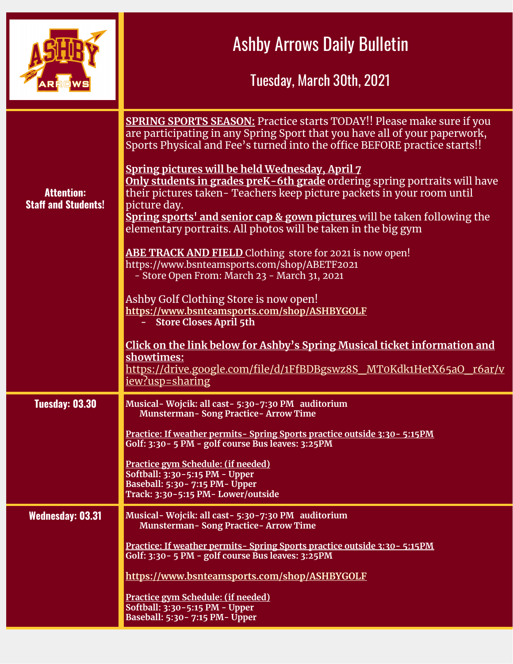|                                                 | <b>Ashby Arrows Daily Bulletin</b><br>Tuesday, March 30th, 2021                                                                                                                                                                                                                                                                                                                                                                                                   |
|-------------------------------------------------|-------------------------------------------------------------------------------------------------------------------------------------------------------------------------------------------------------------------------------------------------------------------------------------------------------------------------------------------------------------------------------------------------------------------------------------------------------------------|
| <b>Attention:</b><br><b>Staff and Students!</b> | <b>SPRING SPORTS SEASON:</b> Practice starts TODAY!! Please make sure if you<br>are participating in any Spring Sport that you have all of your paperwork,<br>Sports Physical and Fee's turned into the office BEFORE practice starts!!<br>Spring pictures will be held Wednesday, April 7<br>Only students in grades preK-6th grade ordering spring portraits will have<br>their pictures taken-Teachers keep picture packets in your room until<br>picture day. |
|                                                 | Spring sports' and senior cap & gown pictures will be taken following the<br>elementary portraits. All photos will be taken in the big gym<br><b>ABE TRACK AND FIELD</b> Clothing store for 2021 is now open!<br>https://www.bsnteamsports.com/shop/ABETF2021<br>- Store Open From: March 23 - March 31, 2021<br>Ashby Golf Clothing Store is now open!<br>https://www.bsnteamsports.com/shop/ASHBYGOLF                                                           |
|                                                 | - Store Closes April 5th<br>Click on the link below for Ashby's Spring Musical ticket information and<br>showtimes:<br>https://drive.google.com/file/d/1FfBDBgswz8S_MT0Kdk1HetX65aO_r6ar/v<br>iew?usp=sharing                                                                                                                                                                                                                                                     |
| <b>Tuesday: 03.30</b>                           | Musical-Wojcik: all cast-5:30-7:30 PM auditorium<br><b>Munsterman-Song Practice-Arrow Time</b>                                                                                                                                                                                                                                                                                                                                                                    |
|                                                 | <u>Practice: If weather permits-Spring Sports practice outside 3:30 - 5:15PM</u><br>Golf: 3:30 - 5 PM - golf course Bus leaves: 3:25PM                                                                                                                                                                                                                                                                                                                            |
|                                                 | Practice gym Schedule: (if needed)<br>Softball: 3:30-5:15 PM - Upper<br>Baseball: 5:30 - 7:15 PM - Upper<br>Track: 3:30-5:15 PM- Lower/outside                                                                                                                                                                                                                                                                                                                    |
| <b>Wednesday: 03.31</b>                         | Musical - Wojcik: all cast - 5:30 - 7:30 PM auditorium<br><b>Munsterman-Song Practice-Arrow Time</b>                                                                                                                                                                                                                                                                                                                                                              |
|                                                 | <u>Practice: If weather permits-Spring Sports practice outside 3:30-5:15PM</u><br>Golf: 3:30 - 5 PM - golf course Bus leaves: 3:25PM                                                                                                                                                                                                                                                                                                                              |
|                                                 | https://www.bsnteamsports.com/shop/ASHBYGOLF                                                                                                                                                                                                                                                                                                                                                                                                                      |
|                                                 | Practice gym Schedule: (if needed)<br>Softball: 3:30-5:15 PM - Upper<br>Baseball: 5:30 - 7:15 PM - Upper                                                                                                                                                                                                                                                                                                                                                          |